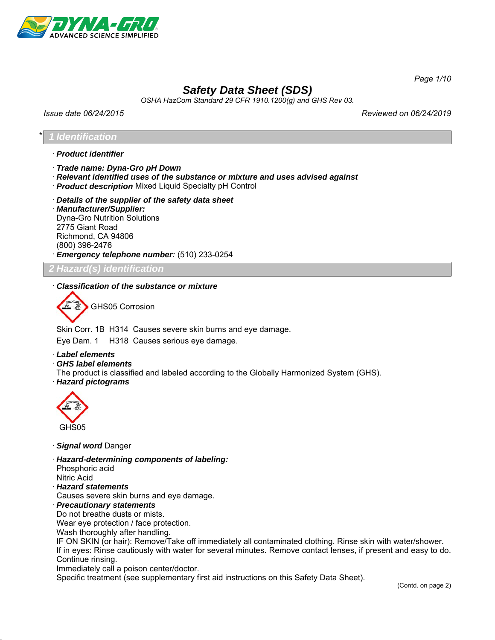

*Page 1/10*

# *Safety Data Sheet (SDS)*

*OSHA HazCom Standard 29 CFR 1910.1200(g) and GHS Rev 03.*

*Issue date 06/24/2015 Reviewed on 06/24/2019*

#### \* *1 Identification*

- · *Product identifier*
- · *Trade name: Dyna-Gro pH Down*
- · *Relevant identified uses of the substance or mixture and uses advised against*
- · *Product description* Mixed Liquid Specialty pH Control
- · *Details of the supplier of the safety data sheet* · *Manufacturer/Supplier:* Dyna-Gro Nutrition Solutions 2775 Giant Road Richmond, CA 94806 (800) 396-2476 · *Emergency telephone number:* (510) 233-0254

*2 Hazard(s) identification*

#### · *Classification of the substance or mixture*

GHS05 Corrosion

Skin Corr. 1B H314 Causes severe skin burns and eye damage.

Eye Dam. 1 H318 Causes serious eye damage.

- · *Label elements*
- · *GHS label elements*
- The product is classified and labeled according to the Globally Harmonized System (GHS).
- · *Hazard pictograms*



- · *Signal word* Danger
- · *Hazard-determining components of labeling:*

Phosphoric acid Nitric Acid

· *Hazard statements*

Causes severe skin burns and eye damage.

· *Precautionary statements*

Do not breathe dusts or mists.

Wear eye protection / face protection.

Wash thoroughly after handling.

IF ON SKIN (or hair): Remove/Take off immediately all contaminated clothing. Rinse skin with water/shower. If in eyes: Rinse cautiously with water for several minutes. Remove contact lenses, if present and easy to do. Continue rinsing.

Immediately call a poison center/doctor.

Specific treatment (see supplementary first aid instructions on this Safety Data Sheet).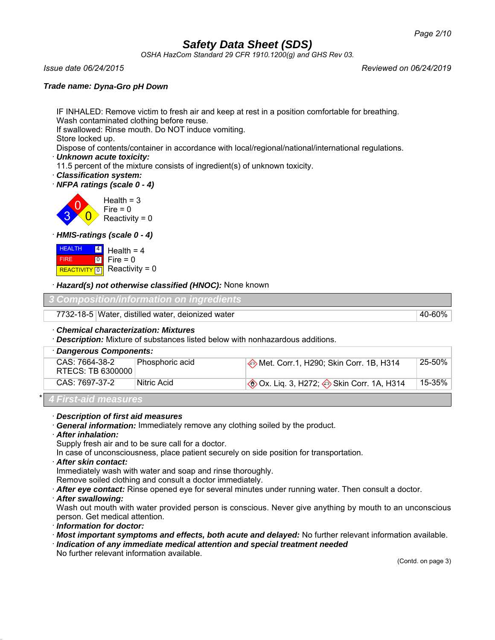*OSHA HazCom Standard 29 CFR 1910.1200(g) and GHS Rev 03.*

*Issue date 06/24/2015 Reviewed on 06/24/2019*

#### *Trade name: Dyna-Gro pH Down*

IF INHALED: Remove victim to fresh air and keep at rest in a position comfortable for breathing. Wash contaminated clothing before reuse.

If swallowed: Rinse mouth. Do NOT induce vomiting.

Store locked up.

Dispose of contents/container in accordance with local/regional/national/international regulations.

- · *Unknown acute toxicity:*
- 11.5 percent of the mixture consists of ingredient(s) of unknown toxicity.
- · *Classification system:*

· *NFPA ratings (scale 0 - 4)*



· *HMIS-ratings (scale 0 - 4)*

| <b>HEALTH</b> | $\frac{4}{1}$ Health = 4    |
|---------------|-----------------------------|
| FIRE          | $ 0 $ Fire = 0              |
|               | REACTIVITY 0 Reactivity = 0 |

· *Hazard(s) not otherwise classified (HNOC):* None known

| 3 Composition/information on ingredients          |  |
|---------------------------------------------------|--|
| 7732-18-5 Water, distilled water, deionized water |  |

### · *Chemical characterization: Mixtures*

· *Description:* Mixture of substances listed below with nonhazardous additions.

| · Dangerous Components:             |                 |                                                  |        |  |
|-------------------------------------|-----------------|--------------------------------------------------|--------|--|
| CAS: 7664-38-2<br>RTECS: TB 6300000 | Phosphoric acid | Met. Corr.1, H290; Skin Corr. 1B, H314           | 25-50% |  |
|                                     |                 |                                                  |        |  |
| CAS: 7697-37-2                      | Nitric Acid     | <b>♦ Ox. Lig. 3, H272; ♦ Skin Corr. 1A, H314</b> | 15-35% |  |
| 4 First-aid measures                |                 |                                                  |        |  |

· *Description of first aid measures*

· *General information:* Immediately remove any clothing soiled by the product.

· *After inhalation:*

Supply fresh air and to be sure call for a doctor.

In case of unconsciousness, place patient securely on side position for transportation.

#### · *After skin contact:*

Immediately wash with water and soap and rinse thoroughly.

Remove soiled clothing and consult a doctor immediately.

· *After eye contact:* Rinse opened eye for several minutes under running water. Then consult a doctor.

· *After swallowing:*

Wash out mouth with water provided person is conscious. Never give anything by mouth to an unconscious person. Get medical attention.

- · *Information for doctor:*
- · *Most important symptoms and effects, both acute and delayed:* No further relevant information available.
- · *Indication of any immediate medical attention and special treatment needed* No further relevant information available.

(Contd. on page 3)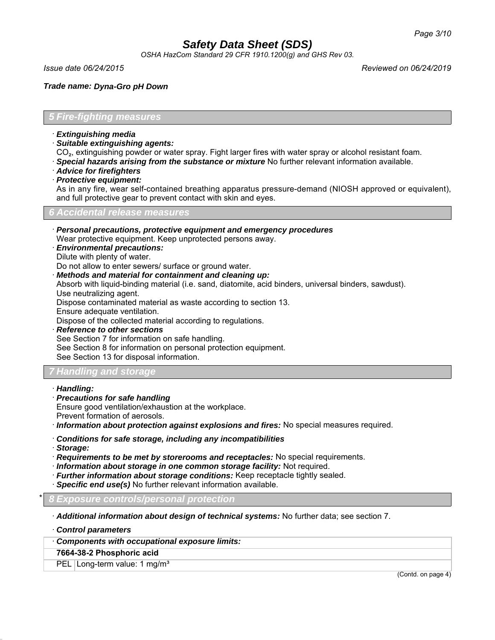*OSHA HazCom Standard 29 CFR 1910.1200(g) and GHS Rev 03.*

*Issue date 06/24/2015 Reviewed on 06/24/2019*

*Trade name: Dyna-Gro pH Down*

*5 Fire-fighting measures*

- · *Extinguishing media*
- · *Suitable extinguishing agents:*
- CO₂, extinguishing powder or water spray. Fight larger fires with water spray or alcohol resistant foam.
- · *Special hazards arising from the substance or mixture* No further relevant information available.
- · *Advice for firefighters*
- · *Protective equipment:*

As in any fire, wear self-contained breathing apparatus pressure-demand (NIOSH approved or equivalent), and full protective gear to prevent contact with skin and eyes.

*6 Accidental release measures*

- · *Personal precautions, protective equipment and emergency procedures* Wear protective equipment. Keep unprotected persons away.
- · *Environmental precautions:*
- Dilute with plenty of water.
- Do not allow to enter sewers/ surface or ground water.
- · *Methods and material for containment and cleaning up:*
- Absorb with liquid-binding material (i.e. sand, diatomite, acid binders, universal binders, sawdust). Use neutralizing agent.

Dispose contaminated material as waste according to section 13.

Ensure adequate ventilation.

Dispose of the collected material according to regulations.

- · *Reference to other sections* See Section 7 for information on safe handling. See Section 8 for information on personal protection equipment.
- See Section 13 for disposal information.

### *7 Handling and storage*

- · *Handling:*
- · *Precautions for safe handling*
- Ensure good ventilation/exhaustion at the workplace.
- Prevent formation of aerosols.

· *Information about protection against explosions and fires:* No special measures required.

- · *Conditions for safe storage, including any incompatibilities*
- · *Storage:*
- · *Requirements to be met by storerooms and receptacles:* No special requirements.
- · *Information about storage in one common storage facility:* Not required.
- · *Further information about storage conditions:* Keep receptacle tightly sealed.
- · *Specific end use(s)* No further relevant information available.

\* *8 Exposure controls/personal protection*

· *Additional information about design of technical systems:* No further data; see section 7.

· *Control parameters*

· *Components with occupational exposure limits:*

**7664-38-2 Phosphoric acid**

PEL Long-term value: 1 mg/m<sup>3</sup>

(Contd. on page 4)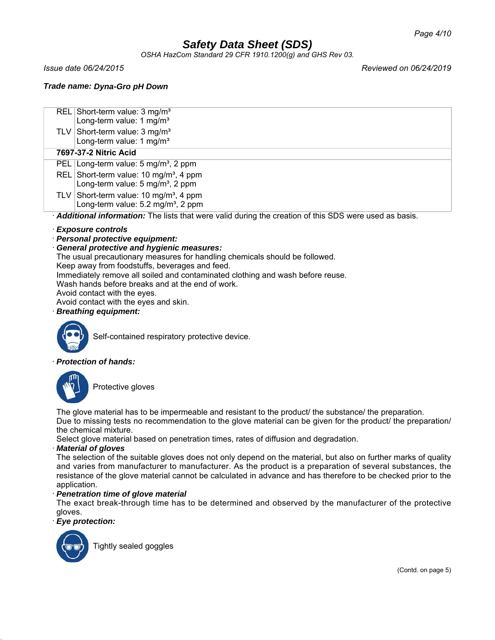*OSHA HazCom Standard 29 CFR 1910.1200(g) and GHS Rev 03.*

*Trade name: Dyna-Gro pH Down*

| REL Short-term value: 3 mg/m <sup>3</sup> |  |  |
|-------------------------------------------|--|--|
|                                           |  |  |

- Long-term value: 1 mg/m<sup>3</sup> TLV Short-term value:  $3 \text{ mg/m}^3$
- Long-term value: 1 mg/m<sup>3</sup>

### **7697-37-2 Nitric Acid**

- PEL Long-term value: 5 mg/m<sup>3</sup>, 2 ppm
- REL Short-term value:  $10 \text{ ma/m}^3$ , 4 ppm Long-term value:  $5 \text{ mg/m}^3$ , 2 ppm
- TLV Short-term value: 10 mg/m<sup>3</sup>, 4 ppm Long-term value: 5.2 mg/m<sup>3</sup>, 2 ppm

· *Additional information:* The lists that were valid during the creation of this SDS were used as basis.

### · *Exposure controls*

· *Personal protective equipment:*

### · *General protective and hygienic measures:*

The usual precautionary measures for handling chemicals should be followed.

Keep away from foodstuffs, beverages and feed.

Immediately remove all soiled and contaminated clothing and wash before reuse.

Wash hands before breaks and at the end of work.

Avoid contact with the eyes. Avoid contact with the eyes and skin.

· *Breathing equipment:*



Self-contained respiratory protective device.

### · *Protection of hands:*



Protective gloves

The glove material has to be impermeable and resistant to the product/ the substance/ the preparation. Due to missing tests no recommendation to the glove material can be given for the product/ the preparation/ the chemical mixture.

Select glove material based on penetration times, rates of diffusion and degradation.

### · *Material of gloves*

The selection of the suitable gloves does not only depend on the material, but also on further marks of quality and varies from manufacturer to manufacturer. As the product is a preparation of several substances, the resistance of the glove material cannot be calculated in advance and has therefore to be checked prior to the application.

### · *Penetration time of glove material*

The exact break-through time has to be determined and observed by the manufacturer of the protective gloves.

· *Eye protection:*



Tightly sealed goggles

*Issue date 06/24/2015 Reviewed on 06/24/2019*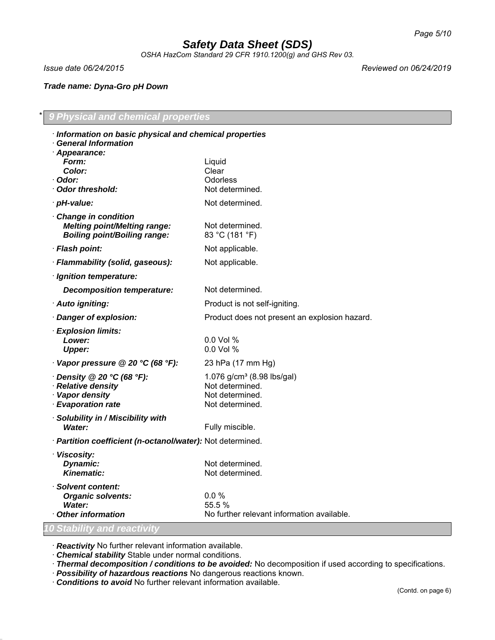*OSHA HazCom Standard 29 CFR 1910.1200(g) and GHS Rev 03.*

*Trade name: Dyna-Gro pH Down*

*Issue date 06/24/2015 Reviewed on 06/24/2019*

### \* *9 Physical and chemical properties* · *Information on basic physical and chemical properties*

| information on basic physical and chemical properties<br><b>General Information</b>               |                                                                                                 |
|---------------------------------------------------------------------------------------------------|-------------------------------------------------------------------------------------------------|
| · Appearance:<br>Form:<br>Color:<br>· Odor:<br>Odor threshold:                                    | Liquid<br>Clear<br>Odorless<br>Not determined.                                                  |
| · pH-value:                                                                                       | Not determined.                                                                                 |
| Change in condition<br><b>Melting point/Melting range:</b><br><b>Boiling point/Boiling range:</b> | Not determined.<br>83 °C (181 °F)                                                               |
| · Flash point:                                                                                    | Not applicable.                                                                                 |
| · Flammability (solid, gaseous):                                                                  | Not applicable.                                                                                 |
| · Ignition temperature:                                                                           |                                                                                                 |
| <b>Decomposition temperature:</b>                                                                 | Not determined.                                                                                 |
| · Auto igniting:                                                                                  | Product is not self-igniting.                                                                   |
| · Danger of explosion:                                                                            | Product does not present an explosion hazard.                                                   |
| <b>Explosion limits:</b><br>Lower:<br><b>Upper:</b>                                               | 0.0 Vol %<br>0.0 Vol %                                                                          |
| Vapor pressure @ 20 °C (68 °F):                                                                   | 23 hPa (17 mm Hg)                                                                               |
| $\cdot$ Density @ 20 °C (68 °F):<br>· Relative density<br>· Vapor density<br>· Evaporation rate   | 1.076 g/cm <sup>3</sup> (8.98 lbs/gal)<br>Not determined.<br>Not determined.<br>Not determined. |
| · Solubility in / Miscibility with<br><b>Water:</b>                                               | Fully miscible.                                                                                 |
| · Partition coefficient (n-octanol/water): Not determined.                                        |                                                                                                 |
| · Viscosity:<br>Dynamic:<br><b>Kinematic:</b>                                                     | Not determined.<br>Not determined.                                                              |
| · Solvent content:<br><b>Organic solvents:</b><br>Water:<br><b>Other information</b>              | 0.0%<br>55.5 %<br>No further relevant information available.                                    |
| <b>0 Stability and reactivity</b>                                                                 |                                                                                                 |

· *Reactivity* No further relevant information available.

· *Chemical stability* Stable under normal conditions.

· *Thermal decomposition / conditions to be avoided:* No decomposition if used according to specifications.

· *Possibility of hazardous reactions* No dangerous reactions known.

· *Conditions to avoid* No further relevant information available.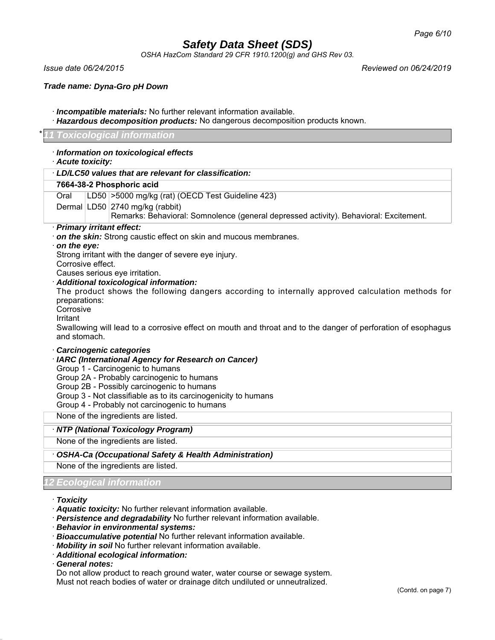*OSHA HazCom Standard 29 CFR 1910.1200(g) and GHS Rev 03.*

*Issue date 06/24/2015 Reviewed on 06/24/2019*

*Trade name: Dyna-Gro pH Down*

- · *Incompatible materials:* No further relevant information available.
- · *Hazardous decomposition products:* No dangerous decomposition products known.

#### *Toxicological information*

| · Information on toxicological effects<br>· Acute toxicity:                                                                                                                                                                                                                                                                                                                                                                                                                                                                                                      |
|------------------------------------------------------------------------------------------------------------------------------------------------------------------------------------------------------------------------------------------------------------------------------------------------------------------------------------------------------------------------------------------------------------------------------------------------------------------------------------------------------------------------------------------------------------------|
| LD/LC50 values that are relevant for classification:                                                                                                                                                                                                                                                                                                                                                                                                                                                                                                             |
| 7664-38-2 Phosphoric acid                                                                                                                                                                                                                                                                                                                                                                                                                                                                                                                                        |
| LD50 > 5000 mg/kg (rat) (OECD Test Guideline 423)<br>Oral                                                                                                                                                                                                                                                                                                                                                                                                                                                                                                        |
| Dermal LD50 2740 mg/kg (rabbit)<br>Remarks: Behavioral: Somnolence (general depressed activity). Behavioral: Excitement.                                                                                                                                                                                                                                                                                                                                                                                                                                         |
| · Primary irritant effect:<br>. on the skin: Strong caustic effect on skin and mucous membranes.<br>$\cdot$ on the eye:<br>Strong irritant with the danger of severe eye injury.<br>Corrosive effect.<br>Causes serious eye irritation.<br>· Additional toxicological information:<br>The product shows the following dangers according to internally approved calculation methods for<br>preparations:<br>Corrosive<br>Irritant<br>Swallowing will lead to a corrosive effect on mouth and throat and to the danger of perforation of esophagus<br>and stomach. |
| <b>Carcinogenic categories</b><br>· IARC (International Agency for Research on Cancer)<br>Group 1 - Carcinogenic to humans<br>Group 2A - Probably carcinogenic to humans<br>Group 2B - Possibly carcinogenic to humans<br>Group 3 - Not classifiable as to its carcinogenicity to humans<br>Group 4 - Probably not carcinogenic to humans<br>None of the ingredients are listed.                                                                                                                                                                                 |
| · NTP (National Toxicology Program)                                                                                                                                                                                                                                                                                                                                                                                                                                                                                                                              |
| None of the ingredients are listed.                                                                                                                                                                                                                                                                                                                                                                                                                                                                                                                              |
| OSHA-Ca (Occupational Safety & Health Administration)                                                                                                                                                                                                                                                                                                                                                                                                                                                                                                            |
| None of the ingredients are listed.                                                                                                                                                                                                                                                                                                                                                                                                                                                                                                                              |
| Ecological information                                                                                                                                                                                                                                                                                                                                                                                                                                                                                                                                           |

#### · *Toxicity*

- · *Aquatic toxicity:* No further relevant information available.
- · *Persistence and degradability* No further relevant information available.
- · *Behavior in environmental systems:*
- · *Bioaccumulative potential* No further relevant information available.
- · *Mobility in soil* No further relevant information available.
- · *Additional ecological information:*
- · *General notes:*

Do not allow product to reach ground water, water course or sewage system. Must not reach bodies of water or drainage ditch undiluted or unneutralized.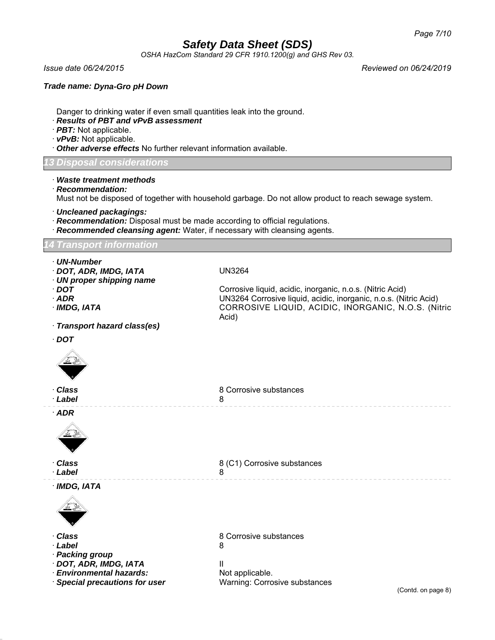*OSHA HazCom Standard 29 CFR 1910.1200(g) and GHS Rev 03.*

*Issue date 06/24/2015 Reviewed on 06/24/2019*

#### *Trade name: Dyna-Gro pH Down*

Danger to drinking water if even small quantities leak into the ground.

#### · *Results of PBT and vPvB assessment*

- · *PBT:* Not applicable.
- · *vPvB:* Not applicable.
- · *Other adverse effects* No further relevant information available.

*13 Disposal considerations*

· *Waste treatment methods*

· *Recommendation:*

Must not be disposed of together with household garbage. Do not allow product to reach sewage system.

- · *Uncleaned packagings:*
- · *Recommendation:* Disposal must be made according to official regulations.
- **Recommended cleansing agent:** Water, if necessary with cleansing agents.

*14 Transport information*

- · *UN-Number*
- · *DOT, ADR, IMDG, IATA* UN3264
- · *UN proper shipping name*

| on proper simpping name    |                                                                  |
|----------------------------|------------------------------------------------------------------|
| $\cdot$ DOT                | Corrosive liquid, acidic, inorganic, n.o.s. (Nitric Acid)        |
| $\cdot$ ADR                | UN3264 Corrosive liquid, acidic, inorganic, n.o.s. (Nitric Acid) |
| · IMDG. IATA               | CORROSIVE LIQUID, ACIDIC, INORGANIC, N.O.S. (Nitric<br>Acid)     |
| Transport hazard class(es) |                                                                  |
| · DOT                      |                                                                  |
|                            |                                                                  |

| · Class<br>· Label | 8 Corrosive substances |
|--------------------|------------------------|
| $\cdot$ ADR        |                        |



· *Class* 8 (C1) Corrosive substances · *Label* 8

· *IMDG, IATA*



· *Label* 8

- · *Packing group*
- · *DOT, ADR, IMDG, IATA* II

· **Environmental hazards:** Not applicable.

· *Class* 8 Corrosive substances

· *Special precautions for user* Warning: Corrosive substances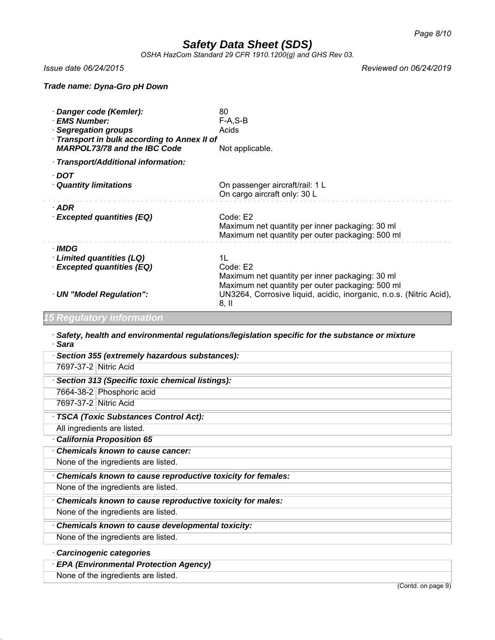*OSHA HazCom Standard 29 CFR 1910.1200(g) and GHS Rev 03.*

*Issue date 06/24/2015 Reviewed on 06/24/2019*

#### *Trade name: Dyna-Gro pH Down*

| · Danger code (Kemler):<br>· EMS Number:<br>· Segregation groups<br>· Transport in bulk according to Annex II of<br><b>MARPOL73/78 and the IBC Code</b> | 80<br>$F-A, S-B$<br>Acids<br>Not applicable.                                                                                                                                                           |
|---------------------------------------------------------------------------------------------------------------------------------------------------------|--------------------------------------------------------------------------------------------------------------------------------------------------------------------------------------------------------|
| · Transport/Additional information:                                                                                                                     |                                                                                                                                                                                                        |
| $\cdot$ DOT<br><b>Quantity limitations</b>                                                                                                              | On passenger aircraft/rail: 1 L<br>On cargo aircraft only: 30 L                                                                                                                                        |
| $\cdot$ ADR<br>· Excepted quantities (EQ)                                                                                                               | Code: E2<br>Maximum net quantity per inner packaging: 30 ml<br>Maximum net quantity per outer packaging: 500 ml                                                                                        |
| · IMDG<br>Limited quantities (LQ)<br>· Excepted quantities (EQ)<br>· UN "Model Regulation":                                                             | 11<br>Code: E2<br>Maximum net quantity per inner packaging: 30 ml<br>Maximum net quantity per outer packaging: 500 ml<br>UN3264, Corrosive liquid, acidic, inorganic, n.o.s. (Nitric Acid),<br>$8,$ II |

### *15 Regulatory information*

· *Safety, health and environmental regulations/legislation specific for the substance or mixture* · *Sara*

| · Section 355 (extremely hazardous substances):             |
|-------------------------------------------------------------|
| 7697-37-2 Nitric Acid                                       |
| Section 313 (Specific toxic chemical listings):             |
| 7664-38-2 Phosphoric acid                                   |
| 7697-37-2 Nitric Acid                                       |
| TSCA (Toxic Substances Control Act):                        |
| All ingredients are listed.                                 |
| California Proposition 65                                   |
| <b>Chemicals known to cause cancer:</b>                     |
| None of the ingredients are listed.                         |
| Chemicals known to cause reproductive toxicity for females: |
| None of the ingredients are listed.                         |
| Chemicals known to cause reproductive toxicity for males:   |
| None of the ingredients are listed.                         |
| Chemicals known to cause developmental toxicity:            |
| None of the ingredients are listed.                         |
| Carcinogenic categories                                     |
| <b>EPA (Environmental Protection Agency)</b>                |
| None of the ingredients are listed.                         |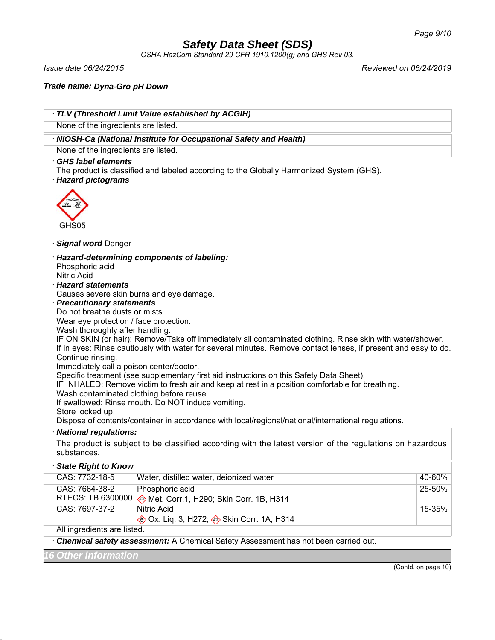*OSHA HazCom Standard 29 CFR 1910.1200(g) and GHS Rev 03.*

*Issue date 06/24/2015 Reviewed on 06/24/2019*

*Trade name: Dyna-Gro pH Down*

| None of the ingredients are listed.      | TLV (Threshold Limit Value established by ACGIH)                                                               |                     |
|------------------------------------------|----------------------------------------------------------------------------------------------------------------|---------------------|
|                                          | · NIOSH-Ca (National Institute for Occupational Safety and Health)                                             |                     |
| None of the ingredients are listed.      |                                                                                                                |                     |
| GHS label elements                       |                                                                                                                |                     |
| · Hazard pictograms                      | The product is classified and labeled according to the Globally Harmonized System (GHS).                       |                     |
| GHS05                                    |                                                                                                                |                     |
| · Signal word Danger                     |                                                                                                                |                     |
|                                          | · Hazard-determining components of labeling:                                                                   |                     |
| Phosphoric acid                          |                                                                                                                |                     |
| <b>Nitric Acid</b>                       |                                                                                                                |                     |
| · Hazard statements                      |                                                                                                                |                     |
| · Precautionary statements               | Causes severe skin burns and eye damage.                                                                       |                     |
| Do not breathe dusts or mists.           |                                                                                                                |                     |
| Wear eye protection / face protection.   |                                                                                                                |                     |
| Wash thoroughly after handling.          |                                                                                                                |                     |
|                                          | IF ON SKIN (or hair): Remove/Take off immediately all contaminated clothing. Rinse skin with water/shower.     |                     |
|                                          | If in eyes: Rinse cautiously with water for several minutes. Remove contact lenses, if present and easy to do. |                     |
| Continue rinsing.                        |                                                                                                                |                     |
| Immediately call a poison center/doctor. |                                                                                                                |                     |
|                                          | Specific treatment (see supplementary first aid instructions on this Safety Data Sheet).                       |                     |
|                                          | IF INHALED: Remove victim to fresh air and keep at rest in a position comfortable for breathing.               |                     |
| Wash contaminated clothing before reuse. |                                                                                                                |                     |
|                                          | If swallowed: Rinse mouth. Do NOT induce vomiting.                                                             |                     |
| Store locked up.                         | Dispose of contents/container in accordance with local/regional/national/international regulations.            |                     |
| · National regulations:                  |                                                                                                                |                     |
|                                          | The product is subject to be classified according with the latest version of the regulations on hazardous      |                     |
| substances.                              |                                                                                                                |                     |
| <b>State Right to Know</b>               |                                                                                                                |                     |
| CAS: 7732-18-5                           | Water, distilled water, deionized water                                                                        | 40-60%              |
| CAS: 7664-38-2                           | Phosphoric acid                                                                                                | 25-50%              |
| RTECS: TB 6300000                        | Met. Corr.1, H290; Skin Corr. 1B, H314                                                                         |                     |
| CAS: 7697-37-2                           | <b>Nitric Acid</b>                                                                                             | 15-35%              |
|                                          | <b>♦ Ox. Liq. 3, H272; ♦ Skin Corr. 1A, H314</b>                                                               |                     |
| All ingredients are listed.              |                                                                                                                |                     |
|                                          | · Chemical safety assessment: A Chemical Safety Assessment has not been carried out.                           |                     |
| 16 Other information                     |                                                                                                                |                     |
|                                          |                                                                                                                | (Contd. on page 10) |